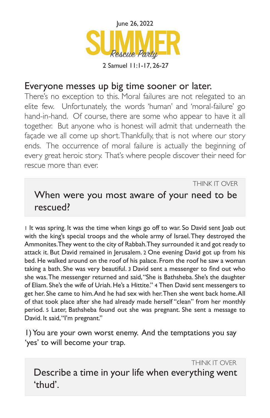

## Everyone messes up big time sooner or later.

There's no exception to this. Moral failures are not relegated to an elite few. Unfortunately, the words 'human' and 'moral-failure' go hand-in-hand. Of course, there are some who appear to have it all together. But anyone who is honest will admit that underneath the façade we all come up short. Thankfully, that is not where our story ends. The occurrence of moral failure is actually the beginning of every great heroic story. That's where people discover their need for rescue more than ever.

THINK IT OVER

## When were you most aware of your need to be rescued?

1 It was spring. It was the time when kings go off to war. So David sent Joab out with the king's special troops and the whole army of Israel. They destroyed the Ammonites. They went to the city of Rabbah. They surrounded it and got ready to attack it. But David remained in Jerusalem. 2 One evening David got up from his bed. He walked around on the roof of his palace. From the roof he saw a woman taking a bath. She was very beautiful. 3 David sent a messenger to find out who she was. The messenger returned and said, "She is Bathsheba. She's the daughter of Eliam. She's the wife of Uriah. He's a Hittite." 4 Then David sent messengers to get her. She came to him. And he had sex with her. Then she went back home. All of that took place after she had already made herself "clean" from her monthly period. 5 Later, Bathsheba found out she was pregnant. She sent a message to David. It said, "I'm pregnant."

1) You are your own worst enemy. And the temptations you say 'yes' to will become your trap.

THINK IT OVER Describe a time in your life when everything went 'thud'.